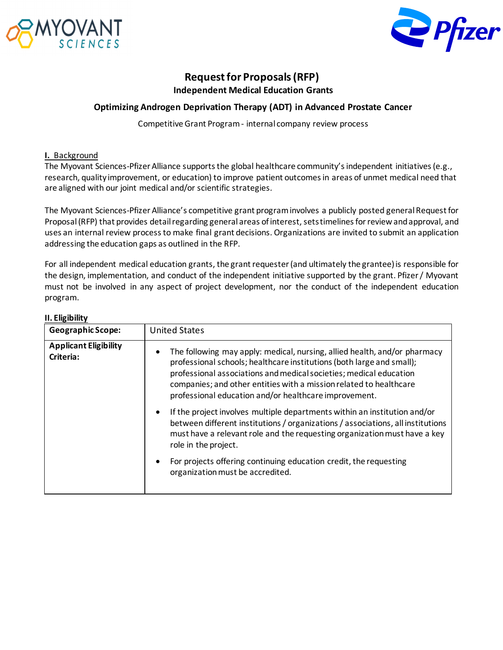



# **Request for Proposals (RFP) Independent Medical Education Grants**

### **Optimizing Androgen Deprivation Therapy (ADT) in Advanced Prostate Cancer**

Competitive Grant Program - internal company review process

#### **I.** Background

The Myovant Sciences-Pfizer Alliance supports the global healthcare community's independent initiatives (e.g., research, quality improvement, or education) to improve patient outcomes in areas of unmet medical need that are aligned with our joint medical and/or scientific strategies.

The Myovant Sciences-Pfizer Alliance's competitive grant program involves a publicly posted general Request for Proposal (RFP) that provides detail regarding general areas of interest, sets timelines for review and approval, and uses an internal review process to make final grant decisions. Organizations are invited to submit an application addressing the education gaps as outlined in the RFP.

For all independent medical education grants, the grant requester (and ultimately the grantee) is responsible for the design, implementation, and conduct of the independent initiative supported by the grant. Pfizer / Myovant must not be involved in any aspect of project development, nor the conduct of the independent education program.

| II. EIIGIDIIITY                           |                                                                                                                                                                                                                                                                                                                                                                                                                                                   |  |
|-------------------------------------------|---------------------------------------------------------------------------------------------------------------------------------------------------------------------------------------------------------------------------------------------------------------------------------------------------------------------------------------------------------------------------------------------------------------------------------------------------|--|
| <b>Geographic Scope:</b>                  | <b>United States</b>                                                                                                                                                                                                                                                                                                                                                                                                                              |  |
| <b>Applicant Eligibility</b><br>Criteria: | The following may apply: medical, nursing, allied health, and/or pharmacy<br>professional schools; healthcare institutions (both large and small);<br>professional associations and medical societies; medical education<br>companies; and other entities with a mission related to healthcare<br>professional education and/or healthcare improvement.<br>If the project involves multiple departments within an institution and/or<br>$\bullet$ |  |
|                                           | between different institutions / organizations / associations, all institutions<br>must have a relevant role and the requesting organization must have a key<br>role in the project.                                                                                                                                                                                                                                                              |  |
|                                           | For projects offering continuing education credit, the requesting<br>organization must be accredited.                                                                                                                                                                                                                                                                                                                                             |  |

# **II. Eligibility**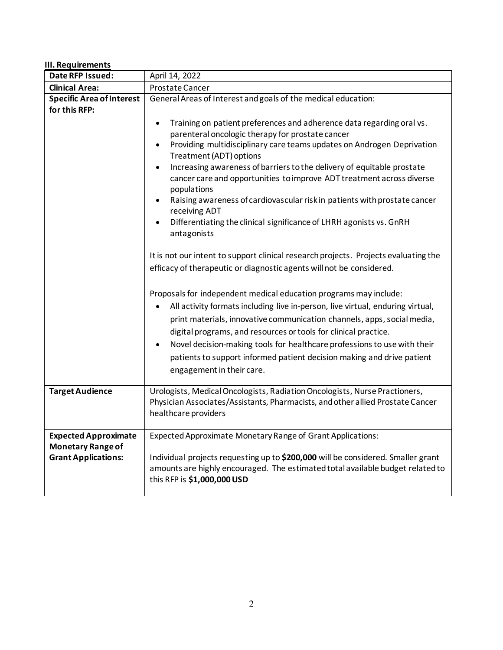### **III. Requirements**

| Date RFP Issued:                                                                      | April 14, 2022                                                                                                                                                                                                                                                                                                                                                                                                                                                                                                                                                                                                                                      |
|---------------------------------------------------------------------------------------|-----------------------------------------------------------------------------------------------------------------------------------------------------------------------------------------------------------------------------------------------------------------------------------------------------------------------------------------------------------------------------------------------------------------------------------------------------------------------------------------------------------------------------------------------------------------------------------------------------------------------------------------------------|
| <b>Clinical Area:</b>                                                                 | Prostate Cancer                                                                                                                                                                                                                                                                                                                                                                                                                                                                                                                                                                                                                                     |
| <b>Specific Area of Interest</b>                                                      | General Areas of Interest and goals of the medical education:                                                                                                                                                                                                                                                                                                                                                                                                                                                                                                                                                                                       |
| for this RFP:                                                                         | Training on patient preferences and adherence data regarding oral vs.<br>$\bullet$<br>parenteral oncologic therapy for prostate cancer<br>Providing multidisciplinary care teams updates on Androgen Deprivation<br>Treatment (ADT) options<br>Increasing awareness of barriers to the delivery of equitable prostate<br>cancer care and opportunities to improve ADT treatment across diverse<br>populations<br>Raising awareness of cardiovascular risk in patients with prostate cancer<br>receiving ADT<br>Differentiating the clinical significance of LHRH agonists vs. GnRH<br>antagonists                                                   |
|                                                                                       | It is not our intent to support clinical research projects. Projects evaluating the<br>efficacy of therapeutic or diagnostic agents will not be considered.<br>Proposals for independent medical education programs may include:<br>All activity formats including live in-person, live virtual, enduring virtual,<br>print materials, innovative communication channels, apps, social media,<br>digital programs, and resources or tools for clinical practice.<br>Novel decision-making tools for healthcare professions to use with their<br>patients to support informed patient decision making and drive patient<br>engagement in their care. |
| <b>Target Audience</b>                                                                | Urologists, Medical Oncologists, Radiation Oncologists, Nurse Practioners,<br>Physician Associates/Assistants, Pharmacists, and other allied Prostate Cancer<br>healthcare providers                                                                                                                                                                                                                                                                                                                                                                                                                                                                |
| <b>Expected Approximate</b><br><b>Monetary Range of</b><br><b>Grant Applications:</b> | Expected Approximate Monetary Range of Grant Applications:<br>Individual projects requesting up to \$200,000 will be considered. Smaller grant<br>amounts are highly encouraged. The estimated total available budget related to<br>this RFP is \$1,000,000 USD                                                                                                                                                                                                                                                                                                                                                                                     |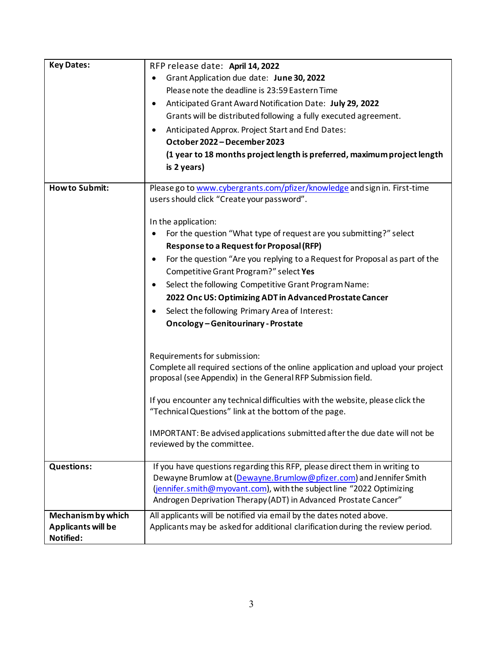| <b>Key Dates:</b>         | RFP release date: April 14, 2022                                                                                        |
|---------------------------|-------------------------------------------------------------------------------------------------------------------------|
|                           | Grant Application due date: June 30, 2022                                                                               |
|                           | Please note the deadline is 23:59 Eastern Time                                                                          |
|                           | Anticipated Grant Award Notification Date: July 29, 2022<br>٠                                                           |
|                           | Grants will be distributed following a fully executed agreement.                                                        |
|                           | Anticipated Approx. Project Start and End Dates:<br>$\bullet$                                                           |
|                           | October 2022 - December 2023                                                                                            |
|                           | (1 year to 18 months project length is preferred, maximum project length                                                |
|                           | is 2 years)                                                                                                             |
| <b>How to Submit:</b>     |                                                                                                                         |
|                           | Please go to www.cybergrants.com/pfizer/knowledge and sign in. First-time<br>users should click "Create your password". |
|                           |                                                                                                                         |
|                           | In the application:                                                                                                     |
|                           | For the question "What type of request are you submitting?" select<br>$\bullet$                                         |
|                           | <b>Response to a Request for Proposal (RFP)</b>                                                                         |
|                           | For the question "Are you replying to a Request for Proposal as part of the<br>$\bullet$                                |
|                           | Competitive Grant Program?" select Yes                                                                                  |
|                           | Select the following Competitive Grant Program Name:<br>$\bullet$                                                       |
|                           | 2022 Onc US: Optimizing ADT in Advanced Prostate Cancer                                                                 |
|                           |                                                                                                                         |
|                           | Select the following Primary Area of Interest:                                                                          |
|                           | <b>Oncology-Genitourinary-Prostate</b>                                                                                  |
|                           |                                                                                                                         |
|                           | Requirements for submission:                                                                                            |
|                           | Complete all required sections of the online application and upload your project                                        |
|                           | proposal (see Appendix) in the General RFP Submission field.                                                            |
|                           |                                                                                                                         |
|                           | If you encounter any technical difficulties with the website, please click the                                          |
|                           | "Technical Questions" link at the bottom of the page.                                                                   |
|                           | IMPORTANT: Be advised applications submitted after the due date will not be                                             |
|                           | reviewed by the committee.                                                                                              |
|                           |                                                                                                                         |
| <b>Questions:</b>         | If you have questions regarding this RFP, please direct them in writing to                                              |
|                           | Dewayne Brumlow at (Dewayne.Brumlow@pfizer.com) and Jennifer Smith                                                      |
|                           | (jennifer.smith@myovant.com), with the subject line "2022 Optimizing                                                    |
|                           | Androgen Deprivation Therapy (ADT) in Advanced Prostate Cancer"                                                         |
| Mechanism by which        | All applicants will be notified via email by the dates noted above.                                                     |
| <b>Applicants will be</b> | Applicants may be asked for additional clarification during the review period.                                          |
| Notified:                 |                                                                                                                         |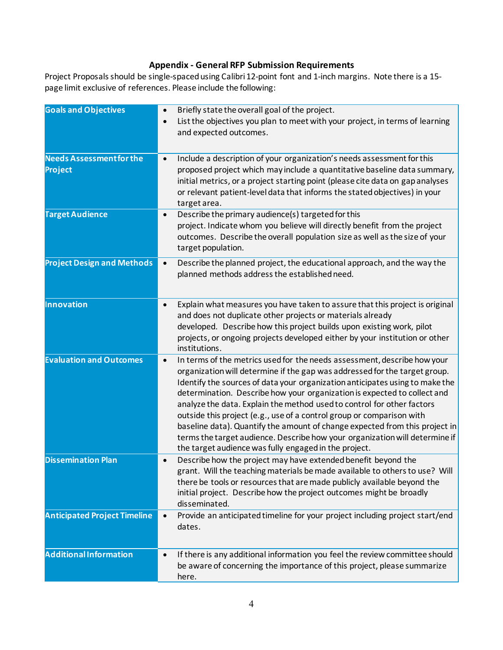# **Appendix - General RFP Submission Requirements**

Project Proposalsshould be single-spaced using Calibri 12-point font and 1-inch margins. Note there is a 15 page limit exclusive of references. Please include the following:

| <b>Goals and Objectives</b>                | Briefly state the overall goal of the project.<br>List the objectives you plan to meet with your project, in terms of learning<br>and expected outcomes.                                                                                                                                                                                                                                                                                                                                                                                                                                                                                                                                     |
|--------------------------------------------|----------------------------------------------------------------------------------------------------------------------------------------------------------------------------------------------------------------------------------------------------------------------------------------------------------------------------------------------------------------------------------------------------------------------------------------------------------------------------------------------------------------------------------------------------------------------------------------------------------------------------------------------------------------------------------------------|
| <b>Needs Assessment for the</b><br>Project | Include a description of your organization's needs assessment for this<br>$\bullet$<br>proposed project which may include a quantitative baseline data summary,<br>initial metrics, or a project starting point (please cite data on gap analyses<br>or relevant patient-level data that informs the stated objectives) in your<br>target area.                                                                                                                                                                                                                                                                                                                                              |
| <b>Target Audience</b>                     | Describe the primary audience(s) targeted for this<br>$\bullet$<br>project. Indicate whom you believe will directly benefit from the project<br>outcomes. Describe the overall population size as well as the size of your<br>target population.                                                                                                                                                                                                                                                                                                                                                                                                                                             |
| <b>Project Design and Methods</b>          | Describe the planned project, the educational approach, and the way the<br>$\bullet$<br>planned methods address the established need.                                                                                                                                                                                                                                                                                                                                                                                                                                                                                                                                                        |
| Innovation                                 | Explain what measures you have taken to assure that this project is original<br>and does not duplicate other projects or materials already<br>developed. Describe how this project builds upon existing work, pilot<br>projects, or ongoing projects developed either by your institution or other<br>institutions.                                                                                                                                                                                                                                                                                                                                                                          |
| <b>Evaluation and Outcomes</b>             | In terms of the metrics used for the needs assessment, describe how your<br>organization will determine if the gap was addressed for the target group.<br>Identify the sources of data your organization anticipates using to make the<br>determination. Describe how your organization is expected to collect and<br>analyze the data. Explain the method used to control for other factors<br>outside this project (e.g., use of a control group or comparison with<br>baseline data). Quantify the amount of change expected from this project in<br>terms the target audience. Describe how your organization will determine if<br>the target audience was fully engaged in the project. |
| <b>Dissemination Plan</b>                  | Describe how the project may have extended benefit beyond the<br>$\bullet$<br>grant. Will the teaching materials be made available to others to use? Will<br>there be tools or resources that are made publicly available beyond the<br>initial project. Describe how the project outcomes might be broadly<br>disseminated.                                                                                                                                                                                                                                                                                                                                                                 |
| <b>Anticipated Project Timeline</b>        | Provide an anticipated timeline for your project including project start/end<br>$\bullet$<br>dates.                                                                                                                                                                                                                                                                                                                                                                                                                                                                                                                                                                                          |
| <b>Additional Information</b>              | If there is any additional information you feel the review committee should<br>be aware of concerning the importance of this project, please summarize<br>here.                                                                                                                                                                                                                                                                                                                                                                                                                                                                                                                              |